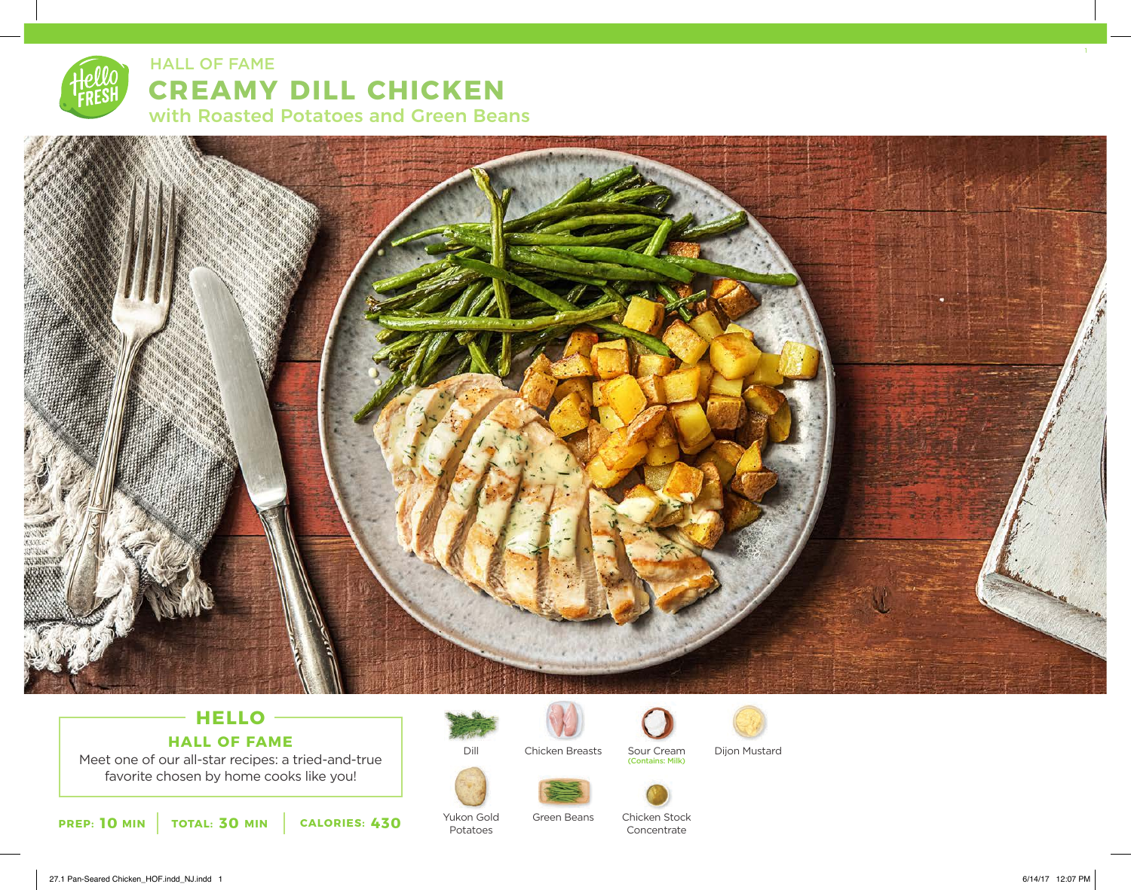



## **HELLO HALL OF FAME**

Meet one of our all-star recipes: a tried-and-true favorite chosen by home cooks like you!

**10** MIN | TOTAL: 30 MIN | CALORIES: 430



Yukon Gold Potatoes



Chicken Breasts Sour Cream Dijon Mustard

Green Beans







Chicken Stock Concentrate

27.1 Pan-Seared Chicken\_HOF.indd\_NJ.indd 1 6/14/17 12:07 PM